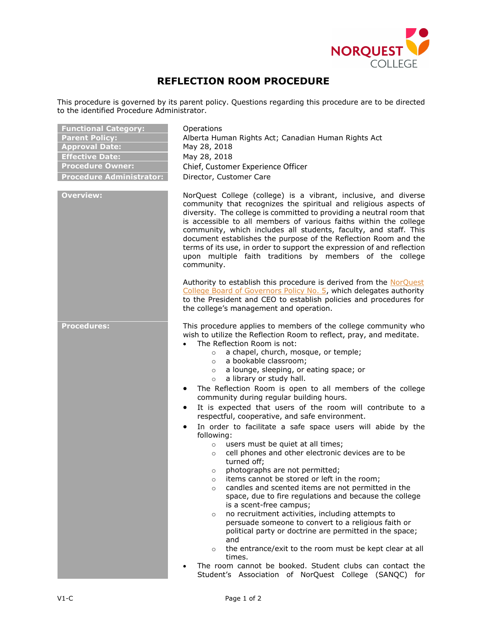

## **REFLECTION ROOM PROCEDURE**

This procedure is governed by its parent policy. Questions regarding this procedure are to be directed to the identified Procedure Administrator.

| <b>Functional Category:</b>     |
|---------------------------------|
| <b>Parent Policy:</b>           |
| <b>Approval Date:</b>           |
| <b>Effective Date:</b>          |
| <b>Procedure Owner:</b>         |
| <b>Procedure Administrator:</b> |

**Functional Category:** Operations **Parent Policy:** Alberta Human Rights Act; Canadian Human Rights Act **Approval Date:** May 28, 2018 **Effective Date:** May 28, 2018 **Chief, Customer Experience Officer Pirector, Customer Care** 

**Overview:** NorQuest College (college) is a vibrant, inclusive, and diverse community that recognizes the spiritual and religious aspects of diversity. The college is committed to providing a neutral room that is accessible to all members of various faiths within the college community, which includes all students, faculty, and staff. This document establishes the purpose of the Reflection Room and the terms of its use, in order to support the expression of and reflection upon multiple faith traditions by members of the college community.

> Authority to establish this procedure is derived from the [NorQuest](https://www.norquest.ca/NorquestCollege/media/pdf/about-us/board/policies-procedures/05-Board-Policy_Delegate_authority_to_President.pdf)  [College Board of Governors Policy No. 5,](https://www.norquest.ca/NorquestCollege/media/pdf/about-us/board/policies-procedures/05-Board-Policy_Delegate_authority_to_President.pdf) which delegates authority to the President and CEO to establish policies and procedures for the college's management and operation.

**Procedures:** This procedure applies to members of the college community who wish to utilize the Reflection Room to reflect, pray, and meditate.

- The Reflection Room is not:
	- o a chapel, church, mosque, or temple;
	- o a bookable classroom;
	- o a lounge, sleeping, or eating space; or
	- o a library or study hall.
- The Reflection Room is open to all members of the college community during regular building hours.
- It is expected that users of the room will contribute to a respectful, cooperative, and safe environment.
- In order to facilitate a safe space users will abide by the following:
	- o users must be quiet at all times;
	- o cell phones and other electronic devices are to be turned off;
	- o photographs are not permitted;
	- o items cannot be stored or left in the room;
	- o candles and scented items are not permitted in the space, due to fire regulations and because the college is a scent-free campus;
	- o no recruitment activities, including attempts to persuade someone to convert to a religious faith or political party or doctrine are permitted in the space; and
	- o the entrance/exit to the room must be kept clear at all times.
- The room cannot be booked. Student clubs can contact the Student's Association of NorQuest College (SANQC) for